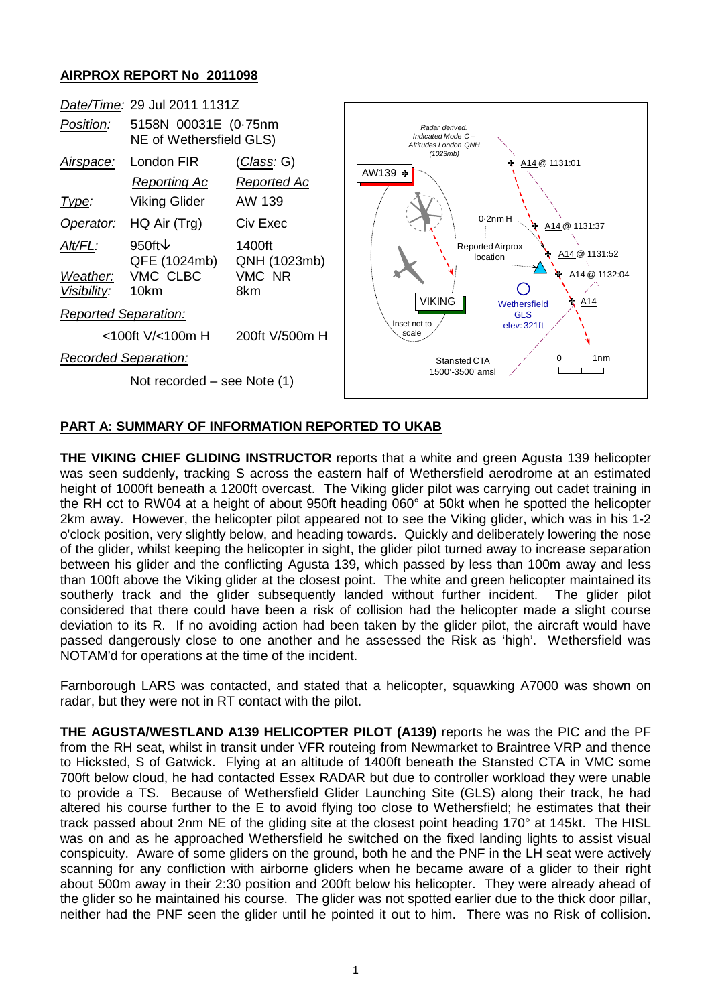## **AIRPROX REPORT No 2011098**



## **PART A: SUMMARY OF INFORMATION REPORTED TO UKAB**

**THE VIKING CHIEF GLIDING INSTRUCTOR** reports that a white and green Agusta 139 helicopter was seen suddenly, tracking S across the eastern half of Wethersfield aerodrome at an estimated height of 1000ft beneath a 1200ft overcast. The Viking glider pilot was carrying out cadet training in the RH cct to RW04 at a height of about 950ft heading 060° at 50kt when he spotted the helicopter 2km away. However, the helicopter pilot appeared not to see the Viking glider, which was in his 1-2 o'clock position, very slightly below, and heading towards. Quickly and deliberately lowering the nose of the glider, whilst keeping the helicopter in sight, the glider pilot turned away to increase separation between his glider and the conflicting Agusta 139, which passed by less than 100m away and less than 100ft above the Viking glider at the closest point. The white and green helicopter maintained its southerly track and the glider subsequently landed without further incident. The glider pilot considered that there could have been a risk of collision had the helicopter made a slight course deviation to its R. If no avoiding action had been taken by the glider pilot, the aircraft would have passed dangerously close to one another and he assessed the Risk as 'high'. Wethersfield was NOTAM'd for operations at the time of the incident.

Farnborough LARS was contacted, and stated that a helicopter, squawking A7000 was shown on radar, but they were not in RT contact with the pilot.

**THE AGUSTA/WESTLAND A139 HELICOPTER PILOT (A139)** reports he was the PIC and the PF from the RH seat, whilst in transit under VFR routeing from Newmarket to Braintree VRP and thence to Hicksted, S of Gatwick. Flying at an altitude of 1400ft beneath the Stansted CTA in VMC some 700ft below cloud, he had contacted Essex RADAR but due to controller workload they were unable to provide a TS. Because of Wethersfield Glider Launching Site (GLS) along their track, he had altered his course further to the E to avoid flying too close to Wethersfield; he estimates that their track passed about 2nm NE of the gliding site at the closest point heading 170° at 145kt. The HISL was on and as he approached Wethersfield he switched on the fixed landing lights to assist visual conspicuity. Aware of some gliders on the ground, both he and the PNF in the LH seat were actively scanning for any confliction with airborne gliders when he became aware of a glider to their right about 500m away in their 2:30 position and 200ft below his helicopter. They were already ahead of the glider so he maintained his course. The glider was not spotted earlier due to the thick door pillar, neither had the PNF seen the glider until he pointed it out to him. There was no Risk of collision.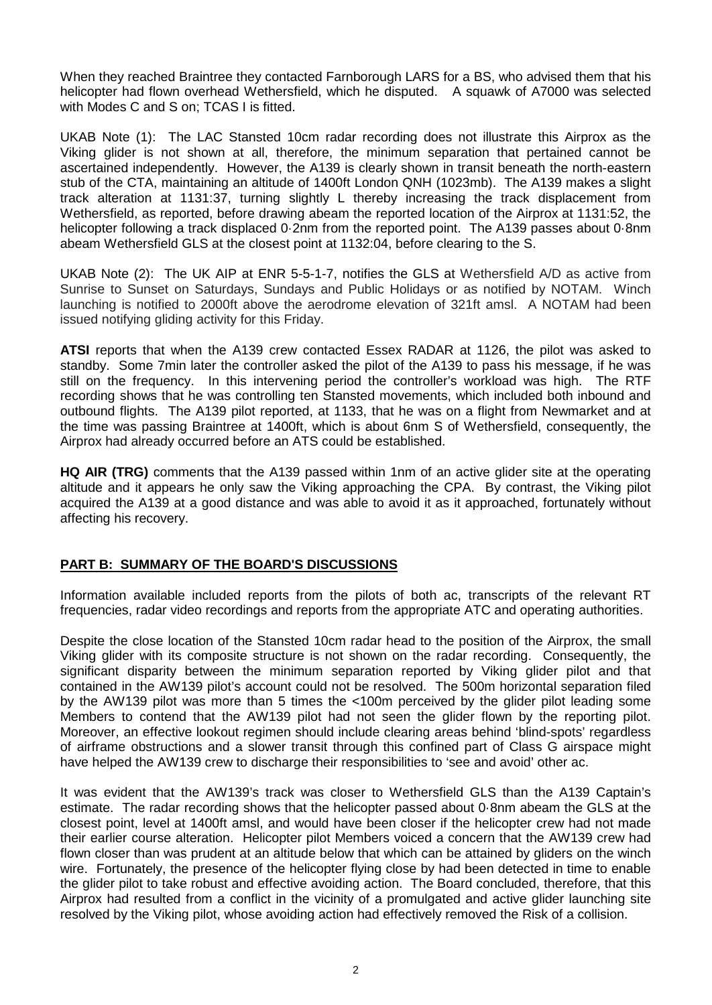When they reached Braintree they contacted Farnborough LARS for a BS, who advised them that his helicopter had flown overhead Wethersfield, which he disputed. A squawk of A7000 was selected with Modes C and S on; TCAS I is fitted.

UKAB Note (1): The LAC Stansted 10cm radar recording does not illustrate this Airprox as the Viking glider is not shown at all, therefore, the minimum separation that pertained cannot be ascertained independently. However, the A139 is clearly shown in transit beneath the north-eastern stub of the CTA, maintaining an altitude of 1400ft London QNH (1023mb). The A139 makes a slight track alteration at 1131:37, turning slightly L thereby increasing the track displacement from Wethersfield, as reported, before drawing abeam the reported location of the Airprox at 1131:52, the helicopter following a track displaced 0.2nm from the reported point. The A139 passes about 0.8nm abeam Wethersfield GLS at the closest point at 1132:04, before clearing to the S.

UKAB Note (2): The UK AIP at ENR 5-5-1-7, notifies the GLS at Wethersfield A/D as active from Sunrise to Sunset on Saturdays, Sundays and Public Holidays or as notified by NOTAM. Winch launching is notified to 2000ft above the aerodrome elevation of 321ft amsl. A NOTAM had been issued notifying gliding activity for this Friday.

**ATSI** reports that when the A139 crew contacted Essex RADAR at 1126, the pilot was asked to standby. Some 7min later the controller asked the pilot of the A139 to pass his message, if he was still on the frequency. In this intervening period the controller's workload was high. The RTF recording shows that he was controlling ten Stansted movements, which included both inbound and outbound flights. The A139 pilot reported, at 1133, that he was on a flight from Newmarket and at the time was passing Braintree at 1400ft, which is about 6nm S of Wethersfield, consequently, the Airprox had already occurred before an ATS could be established.

**HQ AIR (TRG)** comments that the A139 passed within 1nm of an active glider site at the operating altitude and it appears he only saw the Viking approaching the CPA. By contrast, the Viking pilot acquired the A139 at a good distance and was able to avoid it as it approached, fortunately without affecting his recovery.

## **PART B: SUMMARY OF THE BOARD'S DISCUSSIONS**

Information available included reports from the pilots of both ac, transcripts of the relevant RT frequencies, radar video recordings and reports from the appropriate ATC and operating authorities.

Despite the close location of the Stansted 10cm radar head to the position of the Airprox, the small Viking glider with its composite structure is not shown on the radar recording. Consequently, the significant disparity between the minimum separation reported by Viking glider pilot and that contained in the AW139 pilot's account could not be resolved. The 500m horizontal separation filed by the AW139 pilot was more than 5 times the <100m perceived by the glider pilot leading some Members to contend that the AW139 pilot had not seen the glider flown by the reporting pilot. Moreover, an effective lookout regimen should include clearing areas behind 'blind-spots' regardless of airframe obstructions and a slower transit through this confined part of Class G airspace might have helped the AW139 crew to discharge their responsibilities to 'see and avoid' other ac.

It was evident that the AW139's track was closer to Wethersfield GLS than the A139 Captain's estimate. The radar recording shows that the helicopter passed about 0·8nm abeam the GLS at the closest point, level at 1400ft amsl, and would have been closer if the helicopter crew had not made their earlier course alteration. Helicopter pilot Members voiced a concern that the AW139 crew had flown closer than was prudent at an altitude below that which can be attained by gliders on the winch wire. Fortunately, the presence of the helicopter flying close by had been detected in time to enable the glider pilot to take robust and effective avoiding action. The Board concluded, therefore, that this Airprox had resulted from a conflict in the vicinity of a promulgated and active glider launching site resolved by the Viking pilot, whose avoiding action had effectively removed the Risk of a collision.